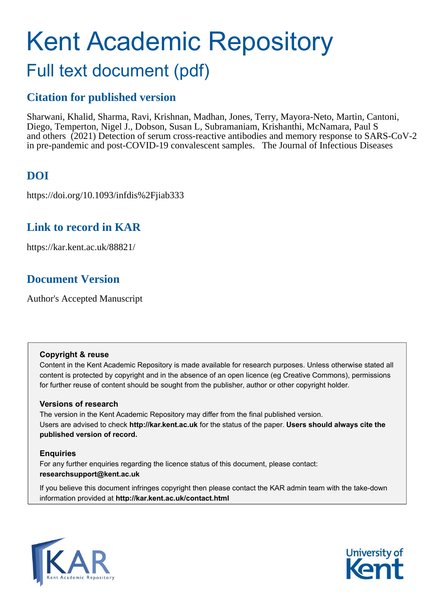# Kent Academic Repository Full text document (pdf)

## **Citation for published version**

Sharwani, Khalid, Sharma, Ravi, Krishnan, Madhan, Jones, Terry, Mayora-Neto, Martin, Cantoni, Diego, Temperton, Nigel J., Dobson, Susan L, Subramaniam, Krishanthi, McNamara, Paul S and others (2021) Detection of serum cross-reactive antibodies and memory response to SARS-CoV-2 in pre-pandemic and post-COVID-19 convalescent samples. The Journal of Infectious Diseases

# **DOI**

https://doi.org/10.1093/infdis%2Fjiab333

### **Link to record in KAR**

https://kar.kent.ac.uk/88821/

### **Document Version**

Author's Accepted Manuscript

### **Copyright & reuse**

Content in the Kent Academic Repository is made available for research purposes. Unless otherwise stated all content is protected by copyright and in the absence of an open licence (eg Creative Commons), permissions for further reuse of content should be sought from the publisher, author or other copyright holder.

### **Versions of research**

The version in the Kent Academic Repository may differ from the final published version. Users are advised to check **http://kar.kent.ac.uk** for the status of the paper. **Users should always cite the published version of record.**

### **Enquiries**

For any further enquiries regarding the licence status of this document, please contact: **researchsupport@kent.ac.uk**

If you believe this document infringes copyright then please contact the KAR admin team with the take-down information provided at **http://kar.kent.ac.uk/contact.html**



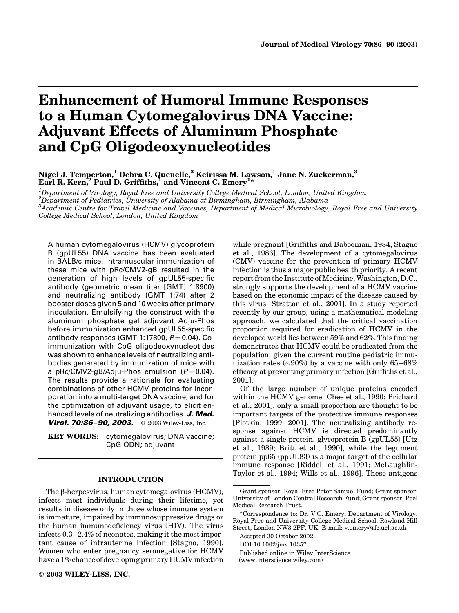# Enhancement of Humoral Immune Responses to a Human Cytomegalovirus DNA Vaccine: Adjuvant Effects of Aluminum Phosphate and CpG Oligodeoxynucleotides

Nigel J. Temperton,<sup>1</sup> Debra C. Quenelle,<sup>2</sup> Keirissa M. Lawson,<sup>1</sup> Jane N. Zuckerman,<sup>3</sup> Earl R. Kern, <sup>2</sup> Paul D. Griffiths, <sup>1</sup> and Vincent C. Emery<sup>1\*</sup>

 ${}^{1}$ Department of Virology, Royal Free and University College Medical School, London, United Kingdom  $^{2}$ Department of Pediatrics, University of Alabama at Birmingham, Birmingham, Alabama  ${}^3$ Academic Centre for Travel Medicine and Vaccines, Department of Medical Microbiology, Royal Free and University College Medical School, London, United Kingdom

A human cytomegalovirus (HCMV) glycoprotein B (gpUL55) DNA vaccine has been evaluated in BALB/c mice. Intramuscular immunization of these mice with pRc/CMV2-gB resulted in the generation of high levels of gpUL55-specific antibody (geometric mean titer [GMT] 1:8900) and neutralizing antibody (GMT 1:74) after 2 booster doses given 5 and 10 weeks after primary inoculation. Emulsifying the construct with the aluminum phosphate gel adjuvant Adju-Phos before immunization enhanced gpUL55-specific antibody responses (GMT 1:17800,  $P = 0.04$ ). Coimmunization with CpG oligodeoxynucleotides was shown to enhance levels of neutralizing antibodies generated by immunization of mice with a pRc/CMV2-gB/Adju-Phos emulsion  $(P = 0.04)$ . The results provide a rationale for evaluating combinations of other HCMV proteins for incorporation into a multi-target DNA vaccine, and for the optimization of adjuvant usage, to elicit enhanced levels of neutralizing antibodies. **J. Med. Virol. 70:86-90, 2003.**  $\otimes$  2003 Wiley-Liss, Inc.

**KEY WORDS:** cytomegalovirus; DNA vaccine; CpG ODN; adjuvant

#### INTRODUCTION

The b-herpesvirus, human cytomegalovirus (HCMV), infects most individuals during their lifetime, yet results in disease only in those whose immune system is immature, impaired by immunosuppressive drugs or the human immunodeficiency virus (HIV). The virus infects 0.3–2.4% of neonates, making it the most important cause of intrauterine infection [Stagno, 1990]. Women who enter pregnancy seronegative for HCMV have a 1% chance of developing primary HCMV infection

2003 WILEY-LISS, INC.

while pregnant [Griffiths and Baboonian, 1984; Stagno et al., 1986]. The development of a cytomegalovirus (CMV) vaccine for the prevention of primary HCMV infection is thus a major public health priority. A recent report from the Institute of Medicine, Washington, D.C., strongly supports the development of a HCMV vaccine based on the economic impact of the disease caused by this virus [Stratton et al., 2001]. In a study reported recently by our group, using a mathematical modeling approach, we calculated that the critical vaccination proportion required for eradication of HCMV in the developed world lies between 59% and 62%. This finding demonstrates that HCMV could be eradicated from the population, given the current routine pediatric immunization rates  $(\sim 90\%)$  by a vaccine with only 65–68% efficacy at preventing primary infection [Griffiths et al., 2001].

Of the large number of unique proteins encoded within the HCMV genome [Chee et al., 1990; Prichard et al., 2001], only a small proportion are thought to be important targets of the protective immune responses [Plotkin, 1999, 2001]. The neutralizing antibody response against HCMV is directed predominantly against a single protein, glycoprotein B (gpUL55) [Utz et al., 1989; Britt et al., 1990], while the tegument protein pp65 (ppUL83) is a major target of the cellular immune response [Riddell et al., 1991; McLaughlin-Taylor et al., 1994; Wills et al., 1996]. These antigens

Grant sponsor: Royal Free Peter Samuel Fund; Grant sponsor: University of London Central Research Fund; Grant sponsor: Peel Medical Research Trust.

<sup>\*</sup>Correspondence to: Dr. V.C. Emery, Department of Virology, Royal Free and University College Medical School, Rowland Hill Street, London NW3 2PF, UK. E-mail: v.emery@rfc.ucl.ac.uk

Accepted 30 October 2002

DOI 10.1002/jmv.10357

Published online in Wiley InterScience

<sup>(</sup>www.interscience.wiley.com)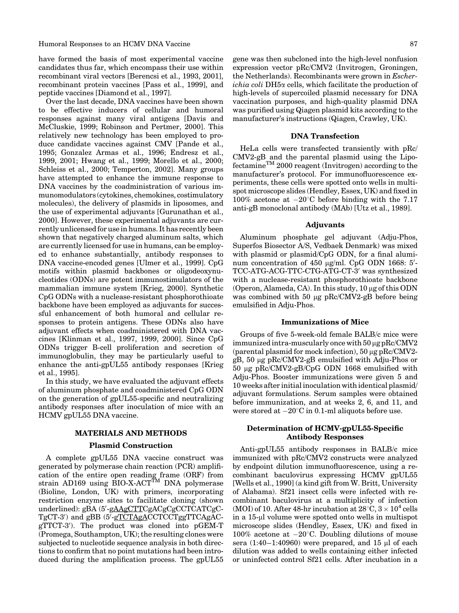have formed the basis of most experimental vaccine candidates thus far, which encompass their use within recombinant viral vectors [Berencsi et al., 1993, 2001], recombinant protein vaccines [Pass et al., 1999], and peptide vaccines [Diamond et al., 1997].

Over the last decade, DNA vaccines have been shown to be effective inducers of cellular and humoral responses against many viral antigens [Davis and McCluskie, 1999; Robinson and Pertmer, 2000]. This relatively new technology has been employed to produce candidate vaccines against CMV [Pande et al., 1995; Gonzalez Armas et al., 1996; Endresz et al., 1999, 2001; Hwang et al., 1999; Morello et al., 2000; Schleiss et al., 2000; Temperton, 2002]. Many groups have attempted to enhance the immune response to DNA vaccines by the coadministration of various immunomodulators (cytokines, chemokines, costimulatory molecules), the delivery of plasmids in liposomes, and the use of experimental adjuvants [Gurunathan et al., 2000]. However, these experimental adjuvants are currently unlicensed for use in humans. It has recently been shown that negatively charged aluminum salts, which are currently licensed for use in humans, can be employed to enhance substantially, antibody responses to DNA vaccine-encoded genes [Ulmer et al., 1999]. CpG motifs within plasmid backbones or oligodeoxynucleotides (ODNs) are potent immunostimulators of the mammalian immune system [Krieg, 2000]. Synthetic CpG ODNs with a nuclease-resistant phosphorothioate backbone have been employed as adjuvants for successful enhancement of both humoral and cellular responses to protein antigens. These ODNs also have adjuvant effects when coadministered with DNA vaccines [Klinman et al., 1997, 1999, 2000]. Since CpG ODNs trigger B-cell proliferation and secretion of immunoglobulin, they may be particularly useful to enhance the anti-gpUL55 antibody responses [Krieg et al., 1995].

In this study, we have evaluated the adjuvant effects of aluminum phosphate and coadministered CpG ODN on the generation of gpUL55-specific and neutralizing antibody responses after inoculation of mice with an HCMV gpUL55 DNA vaccine.

#### MATERIALS AND METHODS

#### Plasmid Construction

A complete gpUL55 DNA vaccine construct was generated by polymerase chain reaction (PCR) amplification of the entire open reading frame (ORF) from strain AD169 using BIO-X-ACT<sup>TM</sup> DNA polymerase (Bioline, London, UK) with primers, incorporating restriction enzyme sites to facilitate cloning (shown underlined): gBA (5'-gAAgCTTCgACgCgCCTCATCgC-TgCT-3') and gBB (5'-gTCTAgACCTCCTggTTCAgACgTTCT-3'). The product was cloned into pGEM-T (Promega, Southampton, UK); the resulting clones were subjected to nucleotide sequence analysis in both directions to confirm that no point mutations had been introduced during the amplification process. The gpUL55

gene was then subcloned into the high-level nonfusion expression vector pRc/CMV2 (Invitrogen, Groningen, the Netherlands). Recombinants were grown in Escherichia coli DH5a cells, which facilitate the production of high-levels of supercoiled plasmid necessary for DNA vaccination purposes, and high-quality plasmid DNA was purified using Qiagen plasmid kits according to the manufacturer's instructions (Qiagen, Crawley, UK).

#### DNA Transfection

HeLa cells were transfected transiently with pRc/ CMV2-gB and the parental plasmid using the LipofectamineTM 2000 reagent (Invitrogen) according to the manufacturer's protocol. For immunofluorescence experiments, these cells were spotted onto wells in multispot microscope slides (Hendley, Essex, UK) and fixed in 100% acetone at  $-20^{\circ}$ C before binding with the 7.17 anti-gB monoclonal antibody (MAb) [Utz et al., 1989].

#### Adjuvants

Aluminum phosphate gel adjuvant (Adju-Phos, Superfos Biosector A/S, Vedbaek Denmark) was mixed with plasmid or plasmid/CpG ODN, for a final aluminum concentration of  $450 \mu g/ml$ . CpG ODN 1668: 5'-TCC-ATG-ACG-TTC-CTG-ATG-CT-3' was synthesized with a nuclease-resistant phosphorothioate backbone (Operon, Alameda, CA). In this study,  $10 \mu$ g of this ODN was combined with 50  $\mu$ g pRc/CMV2-gB before being emulsified in Adju-Phos.

#### Immunizations of Mice

Groups of five 5-week-old female BALB/c mice were immunized intra-muscularly once with  $50 \mu$ g pRc/CMV2 (parental plasmid for mock infection),  $50 \mu$ g pRc/CMV2gB, 50 mg pRc/CMV2-gB emulsified with Adju-Phos or 50 mg pRc/CMV2-gB/CpG ODN 1668 emulsified with Adju-Phos. Booster immunizations were given 5 and 10 weeks after initial inoculation with identical plasmid/ adjuvant formulations. Serum samples were obtained before immunization, and at weeks 2, 6, and 11, and were stored at  $-20^{\circ}\mathrm{C}$  in 0.1-ml aliquots before use.

#### Determination of HCMV-gpUL55-Specific Antibody Responses

Anti-gpUL55 antibody responses in BALB/c mice immunized with pRc/CMV2 constructs were analyzed by endpoint dilution immunofluorescence, using a recombinant baculovirus expressing HCMV gpUL55 [Wells et al., 1990] (a kind gift from W. Britt, University of Alabama). Sf21 insect cells were infected with recombinant baculovirus at a multiplicity of infection (MOI) of 10. After 48-hr incubation at  $28^{\circ}$ C,  $3 \times 10^{4}$  cells in a 15-ul volume were spotted onto wells in multispot microscope slides (Hendley, Essex, UK) and fixed in 100% acetone at  $-20^{\circ}$ C. Doubling dilutions of mouse sera  $(1:40-1:40960)$  were prepared, and 15 µl of each dilution was added to wells containing either infected or uninfected control Sf21 cells. After incubation in a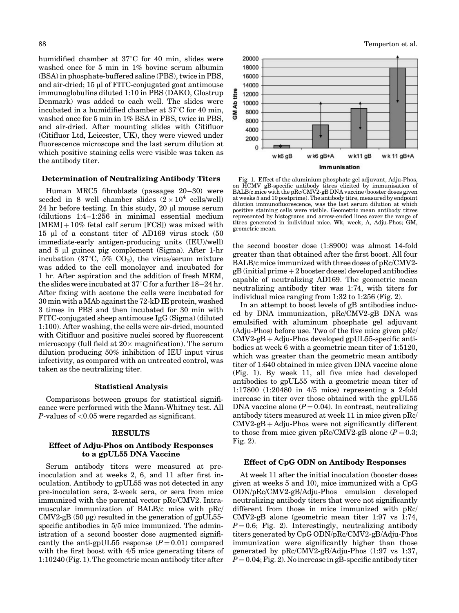humidified chamber at  $37^{\circ}$ C for 40 min, slides were washed once for 5 min in 1% bovine serum albumin (BSA) in phosphate-buffered saline (PBS), twice in PBS, and air-dried; 15 µl of FITC-conjugated goat antimouse immunoglobulins diluted 1:10 in PBS (DAKO, Glostrup Denmark) was added to each well. The slides were incubated in a humidified chamber at  $37^{\circ}$ C for 40 min, washed once for 5 min in 1% BSA in PBS, twice in PBS, and air-dried. After mounting slides with Citifluor (Citifluor Ltd, Leicester, UK), they were viewed under fluorescence microscope and the last serum dilution at which positive staining cells were visible was taken as the antibody titer.

#### Determination of Neutralizing Antibody Titers

Human MRC5 fibroblasts (passages 20–30) were seeded in 8 well chamber slides  $(2 \times 10^4 \text{ cells/well})$ 24 hr before testing. In this study, 20 µl mouse serum (dilutions 1:4–1:256 in minimal essential medium  $[MEM] + 10\%$  fetal calf serum  $[FCS]$ ) was mixed with 15 ml of a constant titer of AD169 virus stock (50 immediate-early antigen-producing units (IEU)/well) and  $5 \mu l$  guinea pig complement (Sigma). After 1-hr incubation (37 $\degree$ C, 5% CO<sub>2</sub>), the virus/serum mixture was added to the cell monolayer and incubated for 1 hr. After aspiration and the addition of fresh MEM, the slides were incubated at  $37^{\circ}$ C for a further 18–24 hr. After fixing with acetone the cells were incubated for 30 min with aMAb against the 72-kD IE protein, washed 3 times in PBS and then incubated for 30 min with FITC-conjugated sheep antimouse IgG (Sigma) (diluted 1:100). After washing, the cells were air-dried, mounted with Citifluor and positive nuclei scored by fluorescent microscopy (full field at  $20 \times$  magnification). The serum dilution producing 50% inhibition of IEU input virus infectivity, as compared with an untreated control, was taken as the neutralizing titer.

#### Statistical Analysis

Comparisons between groups for statistical significance were performed with the Mann-Whitney test. All P-values of  $< 0.05$  were regarded as significant.

#### RESULTS

#### Effect of Adju-Phos on Antibody Responses to a gpUL55 DNA Vaccine

Serum antibody titers were measured at preinoculation and at weeks 2, 6, and 11 after first inoculation. Antibody to gpUL55 was not detected in any pre-inoculation sera, 2-week sera, or sera from mice immunized with the parental vector pRc/CMV2. Intramuscular immunization of BALB/c mice with pRc/ CMV2-gB  $(50 \mu g)$  resulted in the generation of gpUL55specific antibodies in 5/5 mice immunized. The administration of a second booster dose augmented significantly the anti-gpUL55 response  $(P = 0.01)$  compared with the first boost with 4/5 mice generating titers of 1:10240 (Fig. 1). The geometric mean antibody titer after



Fig. 1. Effect of the aluminium phosphate gel adjuvant, Adju-Phos, on HCMV gB-specific antibody titres elicited by immunisation of BALB/c mice with the pRc/CMV2-gB DNA vaccine (booster doses given at weeks 5 and 10 postprime). The antibody titre, measured by endpoint dilution immunofluorescence, was the last serum dilution at which positive staining cells were visible. Geometric mean antibody titres represented by histograms and arrow-ended lines cover the range of titres generated in individual mice. Wk, week; A, Adju-Phos; GM, geometric mean.

the second booster dose (1:8900) was almost 14-fold greater than that obtained after the first boost. All four BALB/c mice immunized with three doses of pRc/CMV2  $gB$  (initial prime  $+2$  booster doses) developed antibodies capable of neutralizing AD169. The geometric mean neutralizing antibody titer was 1:74, with titers for individual mice ranging from 1:32 to 1:256 (Fig. 2).

In an attempt to boost levels of gB antibodies induced by DNA immunization, pRc/CMV2-gB DNA was emulsified with aluminum phosphate gel adjuvant (Adju-Phos) before use. Two of the five mice given pRc/  $CMV2-gB + Adju-Phos developed gpUL55-specific anti$ bodies at week 6 with a geometric mean titer of 1:5120, which was greater than the geometric mean antibody titer of 1:640 obtained in mice given DNA vaccine alone (Fig. 1). By week 11, all five mice had developed antibodies to gpUL55 with a geometric mean titer of 1:17800 (1:20480 in 4/5 mice) representing a 2-fold increase in titer over those obtained with the gpUL55 DNA vaccine alone  $(P = 0.04)$ . In contrast, neutralizing antibody titers measured at week 11 in mice given pRc/  $CMV2-gB + Adju-Phos$  were not significantly different to those from mice given pRc/CMV2-gB alone  $(P = 0.3;$ Fig. 2).

#### Effect of CpG ODN on Antibody Responses

At week 11 after the initial inoculation (booster doses given at weeks 5 and 10), mice immunized with a CpG ODN/pRc/CMV2-gB/Adju-Phos emulsion developed neutralizing antibody titers that were not significantly different from those in mice immunized with pRc/ CMV2-gB alone (geometric mean titer 1:97 vs 1:74,  $P = 0.6$ ; Fig. 2). Interestingly, neutralizing antibody titers generated by CpG ODN/pRc/CMV2-gB/Adju-Phos immunization were significantly higher than those generated by pRc/CMV2-gB/Adju-Phos (1:97 vs 1:37,  $P = 0.04$ ; Fig. 2). No increase in gB-specific antibody titer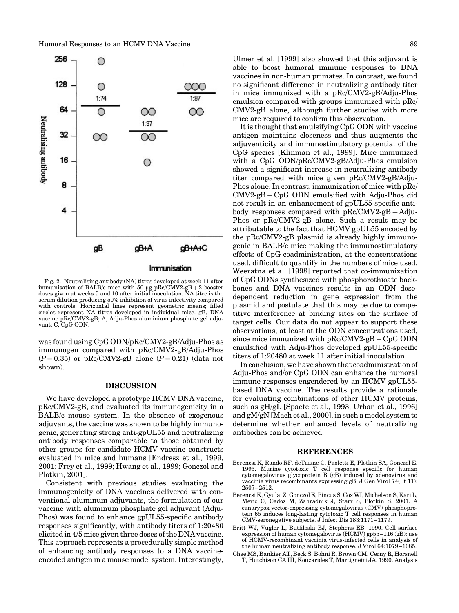

Fig. 2. Neutralising antibody (NA) titres developed at week 11 after immunisation of BALB/c mice with 50 µg pRc/CMV2-gB + 2 booster doses given at weeks 5 and 10 after initial inoculation. NA titre is the serum dilution producing 50% inhibition of virus infectivity compared with controls. Horizontal lines represent geometric means; filled circles represent NA titres developed in individual mice. gB, DNA vaccine pRc/CMV2-gB; A, Adju-Phos aluminium phosphate gel adjuvant; C, CpG ODN.

was found using CpG ODN/pRc/CMV2-gB/Adju-Phos as immunogen compared with pRc/CMV2-gB/Adju-Phos  $(P = 0.35)$  or pRc/CMV2-gB alone  $(P = 0.21)$  (data not shown).

#### DISCUSSION

We have developed a prototype HCMV DNA vaccine, pRc/CMV2-gB, and evaluated its immunogenicity in a BALB/c mouse system. In the absence of exogenous adjuvants, the vaccine was shown to be highly immunogenic, generating strong anti-gpUL55 and neutralizing antibody responses comparable to those obtained by other groups for candidate HCMV vaccine constructs evaluated in mice and humans [Endresz et al., 1999, 2001; Frey et al., 1999; Hwang et al., 1999; Gonczol and Plotkin, 2001].

Consistent with previous studies evaluating the immunogenicity of DNA vaccines delivered with conventional aluminum adjuvants, the formulation of our vaccine with aluminum phosphate gel adjuvant (Adju-Phos) was found to enhance gpUL55-specific antibody responses significantly, with antibody titers of 1:20480 elicited in 4/5 mice given three doses of the DNA vaccine. This approach represents a procedurally simple method of enhancing antibody responses to a DNA vaccineencoded antigen in a mouse model system. Interestingly,

Ulmer et al. [1999] also showed that this adjuvant is able to boost humoral immune responses to DNA vaccines in non-human primates. In contrast, we found no significant difference in neutralizing antibody titer in mice immunized with a pRc/CMV2-gB/Adju-Phos emulsion compared with groups immunized with pRc/ CMV2-gB alone, although further studies with more mice are required to confirm this observation.

It is thought that emulsifying CpG ODN with vaccine antigen maintains closeness and thus augments the adjuventicity and immunostimulatory potential of the CpG species [Klinman et al., 1999]. Mice immunized with a CpG ODN/pRc/CMV2-gB/Adju-Phos emulsion showed a significant increase in neutralizing antibody titer compared with mice given pRc/CMV2-gB/Adju-Phos alone. In contrast, immunization of mice with pRc/  $CMV2-gB + CpG$  ODN emulsified with Adju-Phos did not result in an enhancement of gpUL55-specific antibody responses compared with  $pRc/CMV2-gB + Adju-$ Phos or pRc/CMV2-gB alone. Such a result may be attributable to the fact that HCMV gpUL55 encoded by the pRc/CMV2-gB plasmid is already highly immunogenic in BALB/c mice making the immunostimulatory effects of CpG coadministration, at the concentrations used, difficult to quantify in the numbers of mice used. Weeratna et al. [1998] reported that co-immunization of CpG ODNs synthesized with phosphorothioate backbones and DNA vaccines results in an ODN dosedependent reduction in gene expression from the plasmid and postulate that this may be due to competitive interference at binding sites on the surface of target cells. Our data do not appear to support these observations, at least at the ODN concentrations used, since mice immunized with  $pRc/CMV2-gB + CpG$  ODN emulsified with Adju-Phos developed gpUL55-specific titers of 1:20480 at week 11 after initial inoculation.

In conclusion, we have shown that coadministration of Adju-Phos and/or CpG ODN can enhance the humoral immune responses engendered by an HCMV gpUL55 based DNA vaccine. The results provide a rationale for evaluating combinations of other HCMV proteins, such as gH/gL [Spaete et al., 1993; Urban et al., 1996] and gM/gN [Mach et al., 2000], in such a model system to determine whether enhanced levels of neutralizing antibodies can be achieved.

#### REFERENCES

- Berencsi K, Rando RF, deTaisne C, Paoletti E, Plotkin SA, Gonczol E. 1993. Murine cytotoxic T cell response specific for human cytomegalovirus glycoprotein B (gB) induced by adenovirus and vaccinia virus recombinants expressing gB. J Gen Virol 74(Pt 11): 2507–2512.
- Berencsi K, Gyulai Z, Gonczol E, Pincus S, Cox WI, Michelson S, Kari L, Meric C, Cadoz M, Zahradnik J, Starr S, Plotkin S. 2001. A canarypox vector-expressing cytomegalovirus (CMV) phosphoprotein 65 induces long-lasting cytotoxic T cell responses in human CMV-seronegative subjects. J Infect Dis 183:1171–1179.
- Britt WJ, Vugler L, Butfiloski EJ, Stephens EB. 1990. Cell surface expression of human cytomegalovirus (HCMV) gp55–116 (gB): use of HCMV-recombinant vaccinia virus-infected cells in analysis of the human neutralizing antibody response. J Virol 64:1079–1085.
- Chee MS, Bankier AT, Beck S, Bohni R, Brown CM, Cerny R, Horsnell T, Hutchison CA III, Kouzarides T, Martignetti JA. 1990. Analysis